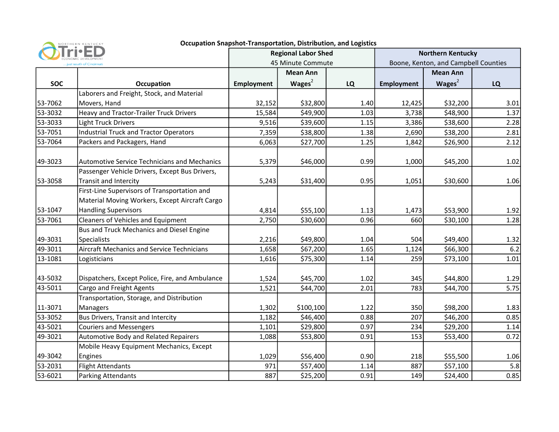

## Occupation Snapshot-Transportation, Distribution, and Logistics

|                          |                                                                                                | <b>Regional Labor Shed</b> |                 |           | <b>Northern Kentucky</b>             |                 |      |
|--------------------------|------------------------------------------------------------------------------------------------|----------------------------|-----------------|-----------|--------------------------------------|-----------------|------|
| just south of Cincinnati |                                                                                                | 45 Minute Commute          |                 |           | Boone, Kenton, and Campbell Counties |                 |      |
|                          |                                                                                                |                            | <b>Mean Ann</b> |           |                                      | <b>Mean Ann</b> |      |
| <b>SOC</b>               | Occupation                                                                                     | <b>Employment</b>          | Wages $2$       | <b>LQ</b> | <b>Employment</b>                    | Wages $2$       | LQ   |
|                          | Laborers and Freight, Stock, and Material                                                      |                            |                 |           |                                      |                 |      |
| 53-7062                  | Movers, Hand                                                                                   | 32,152                     | \$32,800        | 1.40      | 12,425                               | \$32,200        | 3.01 |
| 53-3032                  | Heavy and Tractor-Trailer Truck Drivers                                                        | 15,584                     | \$49,900        | 1.03      | 3,738                                | \$48,900        | 1.37 |
| 53-3033                  | <b>Light Truck Drivers</b>                                                                     | 9,516                      | \$39,600        | 1.15      | 3,386                                | \$38,600        | 2.28 |
| 53-7051                  | Industrial Truck and Tractor Operators                                                         | 7,359                      | \$38,800        | 1.38      | 2,690                                | \$38,200        | 2.81 |
| 53-7064                  | Packers and Packagers, Hand                                                                    | 6,063                      | \$27,700        | 1.25      | 1,842                                | \$26,900        | 2.12 |
| 49-3023                  | Automotive Service Technicians and Mechanics                                                   | 5,379                      | \$46,000        | 0.99      | 1,000                                | \$45,200        | 1.02 |
| 53-3058                  | Passenger Vehicle Drivers, Except Bus Drivers,<br>Transit and Intercity                        | 5,243                      | \$31,400        | 0.95      | 1,051                                | \$30,600        | 1.06 |
|                          | First-Line Supervisors of Transportation and<br>Material Moving Workers, Except Aircraft Cargo |                            |                 |           |                                      |                 |      |
| 53-1047                  | <b>Handling Supervisors</b>                                                                    | 4,814                      | \$55,100        | 1.13      | 1,473                                | \$53,900        | 1.92 |
| 53-7061                  | Cleaners of Vehicles and Equipment                                                             | 2,750                      | \$30,600        | 0.96      | 660                                  | \$30,100        | 1.28 |
|                          | Bus and Truck Mechanics and Diesel Engine                                                      |                            |                 |           |                                      |                 |      |
| 49-3031                  | Specialists                                                                                    | 2,216                      | \$49,800        | 1.04      | 504                                  | \$49,400        | 1.32 |
| 49-3011                  | <b>Aircraft Mechanics and Service Technicians</b>                                              | 1,658                      | \$67,200        | 1.65      | 1,124                                | \$66,300        | 6.2  |
| 13-1081                  | Logisticians                                                                                   | 1,616                      | \$75,300        | 1.14      | 259                                  | \$73,100        | 1.01 |
| 43-5032                  | Dispatchers, Except Police, Fire, and Ambulance                                                | 1,524                      | \$45,700        | 1.02      | 345                                  | \$44,800        | 1.29 |
| 43-5011                  | Cargo and Freight Agents                                                                       | 1,521                      | \$44,700        | 2.01      | 783                                  | \$44,700        | 5.75 |
|                          | Transportation, Storage, and Distribution                                                      |                            |                 |           |                                      |                 |      |
| 11-3071                  | Managers                                                                                       | 1,302                      | \$100,100       | 1.22      | 350                                  | \$98,200        | 1.83 |
| 53-3052                  | Bus Drivers, Transit and Intercity                                                             | 1,182                      | \$46,400        | 0.88      | 207                                  | \$46,200        | 0.85 |
| 43-5021                  | Couriers and Messengers                                                                        | 1,101                      | \$29,800        | 0.97      | 234                                  | \$29,200        | 1.14 |
| 49-3021                  | Automotive Body and Related Repairers                                                          | 1,088                      | \$53,800        | 0.91      | 153                                  | \$53,400        | 0.72 |
|                          | Mobile Heavy Equipment Mechanics, Except                                                       |                            |                 |           |                                      |                 |      |
| 49-3042                  | Engines                                                                                        | 1,029                      | \$56,400        | 0.90      | 218                                  | \$55,500        | 1.06 |
| 53-2031                  | Flight Attendants                                                                              | 971                        | \$57,400        | 1.14      | 887                                  | \$57,100        | 5.8  |
| 53-6021                  | Parking Attendants                                                                             | 887                        | \$25,200        | 0.91      | 149                                  | \$24,400        | 0.85 |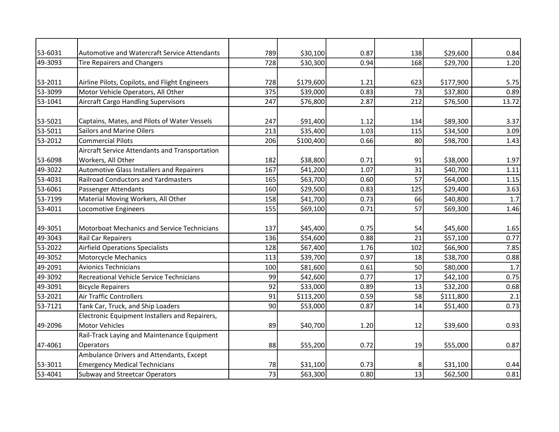| 53-6031 | Automotive and Watercraft Service Attendants     | 789 | \$30,100  | 0.87 | 138 | \$29,600  | 0.84  |
|---------|--------------------------------------------------|-----|-----------|------|-----|-----------|-------|
| 49-3093 | <b>Tire Repairers and Changers</b>               | 728 | \$30,300  | 0.94 | 168 | \$29,700  | 1.20  |
|         |                                                  |     |           |      |     |           |       |
| 53-2011 | Airline Pilots, Copilots, and Flight Engineers   | 728 | \$179,600 | 1.21 | 623 | \$177,900 | 5.75  |
| 53-3099 | Motor Vehicle Operators, All Other               | 375 | \$39,000  | 0.83 | 73  | \$37,800  | 0.89  |
| 53-1041 | <b>Aircraft Cargo Handling Supervisors</b>       | 247 | \$76,800  | 2.87 | 212 | \$76,500  | 13.72 |
|         |                                                  |     |           |      |     |           |       |
| 53-5021 | Captains, Mates, and Pilots of Water Vessels     | 247 | \$91,400  | 1.12 | 134 | \$89,300  | 3.37  |
| 53-5011 | <b>Sailors and Marine Oilers</b>                 | 213 | \$35,400  | 1.03 | 115 | \$34,500  | 3.09  |
| 53-2012 | <b>Commercial Pilots</b>                         | 206 | \$100,400 | 0.66 | 80  | \$98,700  | 1.43  |
|         | Aircraft Service Attendants and Transportation   |     |           |      |     |           |       |
| 53-6098 | Workers, All Other                               | 182 | \$38,800  | 0.71 | 91  | \$38,000  | 1.97  |
| 49-3022 | <b>Automotive Glass Installers and Repairers</b> | 167 | \$41,200  | 1.07 | 31  | \$40,700  | 1.11  |
| 53-4031 | <b>Railroad Conductors and Yardmasters</b>       | 165 | \$63,700  | 0.60 | 57  | \$64,000  | 1.15  |
| 53-6061 | Passenger Attendants                             | 160 | \$29,500  | 0.83 | 125 | \$29,400  | 3.63  |
| 53-7199 | Material Moving Workers, All Other               | 158 | \$41,700  | 0.73 | 66  | \$40,800  | 1.7   |
| 53-4011 | Locomotive Engineers                             | 155 | \$69,100  | 0.71 | 57  | \$69,300  | 1.46  |
|         |                                                  |     |           |      |     |           |       |
| 49-3051 | Motorboat Mechanics and Service Technicians      | 137 | \$45,400  | 0.75 | 54  | \$45,600  | 1.65  |
| 49-3043 | <b>Rail Car Repairers</b>                        | 136 | \$54,600  | 0.88 | 21  | \$57,100  | 0.77  |
| 53-2022 | <b>Airfield Operations Specialists</b>           | 128 | \$67,400  | 1.76 | 102 | \$66,900  | 7.85  |
| 49-3052 | Motorcycle Mechanics                             | 113 | \$39,700  | 0.97 | 18  | \$38,700  | 0.88  |
| 49-2091 | <b>Avionics Technicians</b>                      | 100 | \$81,600  | 0.61 | 50  | \$80,000  | 1.7   |
| 49-3092 | Recreational Vehicle Service Technicians         | 99  | \$42,600  | 0.77 | 17  | \$42,100  | 0.75  |
| 49-3091 | <b>Bicycle Repairers</b>                         | 92  | \$33,000  | 0.89 | 13  | \$32,200  | 0.68  |
| 53-2021 | <b>Air Traffic Controllers</b>                   | 91  | \$113,200 | 0.59 | 58  | \$111,800 | 2.1   |
| 53-7121 | Tank Car, Truck, and Ship Loaders                | 90  | \$53,000  | 0.87 | 14  | \$51,400  | 0.73  |
|         | Electronic Equipment Installers and Repairers,   |     |           |      |     |           |       |
| 49-2096 | <b>Motor Vehicles</b>                            | 89  | \$40,700  | 1.20 | 12  | \$39,600  | 0.93  |
|         | Rail-Track Laying and Maintenance Equipment      |     |           |      |     |           |       |
| 47-4061 | Operators                                        | 88  | \$55,200  | 0.72 | 19  | \$55,000  | 0.87  |
|         | Ambulance Drivers and Attendants, Except         |     |           |      |     |           |       |
| 53-3011 | <b>Emergency Medical Technicians</b>             | 78  | \$31,100  | 0.73 |     | \$31,100  | 0.44  |
| 53-4041 | <b>Subway and Streetcar Operators</b>            | 73  | \$63,300  | 0.80 | 13  | \$62,500  | 0.81  |